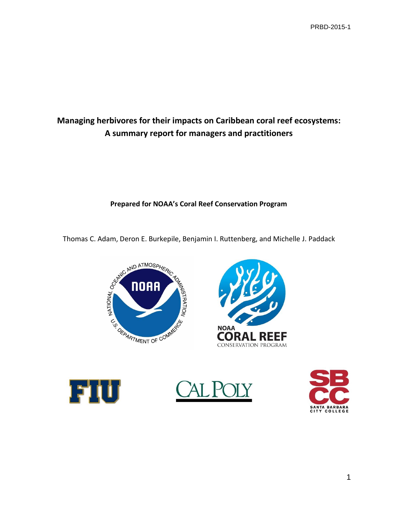# **Managing herbivores for their impacts on Caribbean coral reef ecosystems: A summary report for managers and practitioners**

# **Prepared for NOAA's Coral Reef Conservation Program**









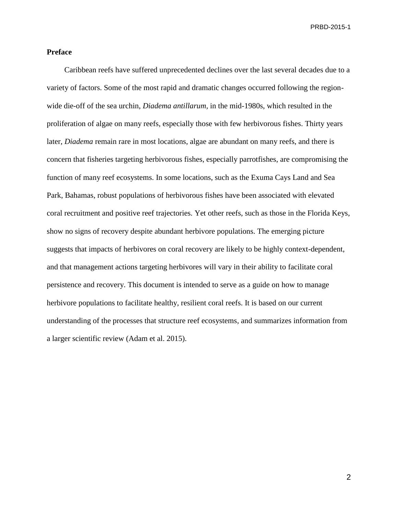### **Preface**

Caribbean reefs have suffered unprecedented declines over the last several decades due to a variety of factors. Some of the most rapid and dramatic changes occurred following the regionwide die-off of the sea urchin, *Diadema antillarum,* in the mid-1980s, which resulted in the proliferation of algae on many reefs, especially those with few herbivorous fishes. Thirty years later, *Diadema* remain rare in most locations, algae are abundant on many reefs, and there is concern that fisheries targeting herbivorous fishes, especially parrotfishes, are compromising the function of many reef ecosystems. In some locations, such as the Exuma Cays Land and Sea Park, Bahamas, robust populations of herbivorous fishes have been associated with elevated coral recruitment and positive reef trajectories. Yet other reefs, such as those in the Florida Keys, show no signs of recovery despite abundant herbivore populations. The emerging picture suggests that impacts of herbivores on coral recovery are likely to be highly context-dependent, and that management actions targeting herbivores will vary in their ability to facilitate coral persistence and recovery. This document is intended to serve as a guide on how to manage herbivore populations to facilitate healthy, resilient coral reefs. It is based on our current understanding of the processes that structure reef ecosystems, and summarizes information from a larger scientific review (Adam et al. 2015).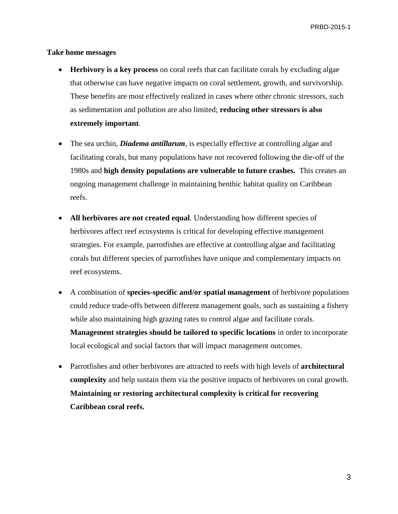#### **Take home messages**

- **Herbivory is a key process** on coral reefs that can facilitate corals by excluding algae that otherwise can have negative impacts on coral settlement, growth, and survivorship. These benefits are most effectively realized in cases where other chronic stressors, such as sedimentation and pollution are also limited; **reducing other stressors is also extremely important**.
- The sea urchin, *Diadema antillarum*, is especially effective at controlling algae and facilitating corals, but many populations have not recovered following the die-off of the 1980s and **high density populations are vulnerable to future crashes.** This creates an ongoing management challenge in maintaining benthic habitat quality on Caribbean reefs.
- **All herbivores are not created equal**. Understanding how different species of herbivores affect reef ecosystems is critical for developing effective management strategies. For example, parrotfishes are effective at controlling algae and facilitating corals but different species of parrotfishes have unique and complementary impacts on reef ecosystems.
- A combination of **species-specific and/or spatial management** of herbivore populations could reduce trade-offs between different management goals, such as sustaining a fishery while also maintaining high grazing rates to control algae and facilitate corals. **Management strategies should be tailored to specific locations** in order to incorporate local ecological and social factors that will impact management outcomes.
- Parrotfishes and other herbivores are attracted to reefs with high levels of **architectural complexity** and help sustain them via the positive impacts of herbivores on coral growth. **Maintaining or restoring architectural complexity is critical for recovering Caribbean coral reefs.**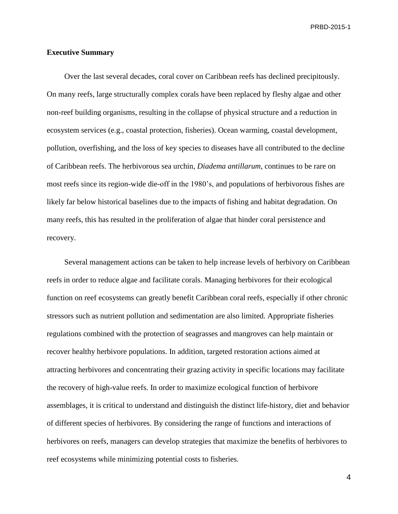### **Executive Summary**

Over the last several decades, coral cover on Caribbean reefs has declined precipitously. On many reefs, large structurally complex corals have been replaced by fleshy algae and other non-reef building organisms, resulting in the collapse of physical structure and a reduction in ecosystem services (e.g., coastal protection, fisheries). Ocean warming, coastal development, pollution, overfishing, and the loss of key species to diseases have all contributed to the decline of Caribbean reefs. The herbivorous sea urchin, *Diadema antillarum*, continues to be rare on most reefs since its region-wide die-off in the 1980's, and populations of herbivorous fishes are likely far below historical baselines due to the impacts of fishing and habitat degradation. On many reefs, this has resulted in the proliferation of algae that hinder coral persistence and recovery.

Several management actions can be taken to help increase levels of herbivory on Caribbean reefs in order to reduce algae and facilitate corals. Managing herbivores for their ecological function on reef ecosystems can greatly benefit Caribbean coral reefs, especially if other chronic stressors such as nutrient pollution and sedimentation are also limited. Appropriate fisheries regulations combined with the protection of seagrasses and mangroves can help maintain or recover healthy herbivore populations. In addition, targeted restoration actions aimed at attracting herbivores and concentrating their grazing activity in specific locations may facilitate the recovery of high-value reefs. In order to maximize ecological function of herbivore assemblages, it is critical to understand and distinguish the distinct life-history, diet and behavior of different species of herbivores. By considering the range of functions and interactions of herbivores on reefs, managers can develop strategies that maximize the benefits of herbivores to reef ecosystems while minimizing potential costs to fisheries.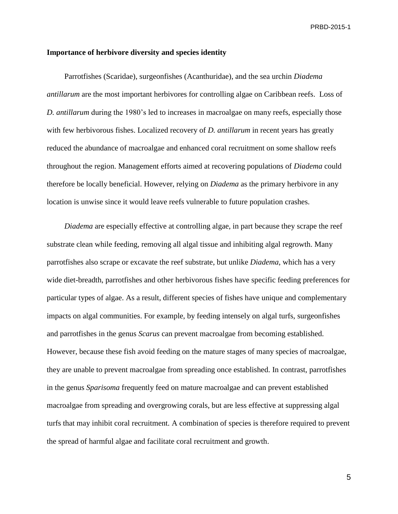#### **Importance of herbivore diversity and species identity**

Parrotfishes (Scaridae), surgeonfishes (Acanthuridae), and the sea urchin *Diadema antillarum* are the most important herbivores for controlling algae on Caribbean reefs. Loss of *D. antillarum* during the 1980's led to increases in macroalgae on many reefs, especially those with few herbivorous fishes. Localized recovery of *D. antillarum* in recent years has greatly reduced the abundance of macroalgae and enhanced coral recruitment on some shallow reefs throughout the region. Management efforts aimed at recovering populations of *Diadema* could therefore be locally beneficial. However, relying on *Diadema* as the primary herbivore in any location is unwise since it would leave reefs vulnerable to future population crashes.

*Diadema* are especially effective at controlling algae, in part because they scrape the reef substrate clean while feeding, removing all algal tissue and inhibiting algal regrowth. Many parrotfishes also scrape or excavate the reef substrate, but unlike *Diadema*, which has a very wide diet-breadth, parrotfishes and other herbivorous fishes have specific feeding preferences for particular types of algae. As a result, different species of fishes have unique and complementary impacts on algal communities. For example, by feeding intensely on algal turfs, surgeonfishes and parrotfishes in the genus *Scarus* can prevent macroalgae from becoming established. However, because these fish avoid feeding on the mature stages of many species of macroalgae, they are unable to prevent macroalgae from spreading once established. In contrast, parrotfishes in the genus *Sparisoma* frequently feed on mature macroalgae and can prevent established macroalgae from spreading and overgrowing corals, but are less effective at suppressing algal turfs that may inhibit coral recruitment. A combination of species is therefore required to prevent the spread of harmful algae and facilitate coral recruitment and growth.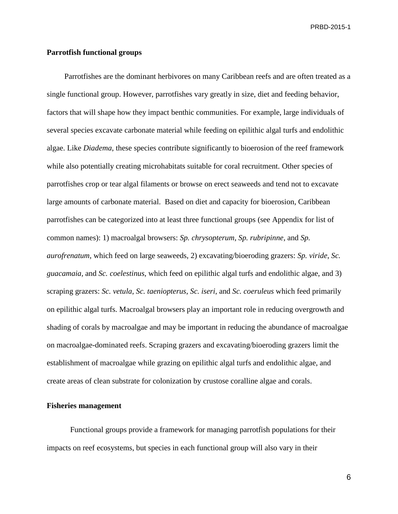## **Parrotfish functional groups**

Parrotfishes are the dominant herbivores on many Caribbean reefs and are often treated as a single functional group. However, parrotfishes vary greatly in size, diet and feeding behavior, factors that will shape how they impact benthic communities. For example, large individuals of several species excavate carbonate material while feeding on epilithic algal turfs and endolithic algae. Like *Diadema*, these species contribute significantly to bioerosion of the reef framework while also potentially creating microhabitats suitable for coral recruitment. Other species of parrotfishes crop or tear algal filaments or browse on erect seaweeds and tend not to excavate large amounts of carbonate material. Based on diet and capacity for bioerosion, Caribbean parrotfishes can be categorized into at least three functional groups (see Appendix for list of common names): 1) macroalgal browsers: *Sp. chrysopterum*, *Sp. rubripinne*, and *Sp. aurofrenatum*, which feed on large seaweeds, 2) excavating/bioeroding grazers: *Sp. viride*, *Sc. guacamaia,* and *Sc. coelestinus*, which feed on epilithic algal turfs and endolithic algae, and 3) scraping grazers: *Sc. vetula*, *Sc. taeniopterus*, *Sc. iseri*, and *Sc. coeruleus* which feed primarily on epilithic algal turfs. Macroalgal browsers play an important role in reducing overgrowth and shading of corals by macroalgae and may be important in reducing the abundance of macroalgae on macroalgae-dominated reefs. Scraping grazers and excavating/bioeroding grazers limit the establishment of macroalgae while grazing on epilithic algal turfs and endolithic algae, and create areas of clean substrate for colonization by crustose coralline algae and corals.

## **Fisheries management**

Functional groups provide a framework for managing parrotfish populations for their impacts on reef ecosystems, but species in each functional group will also vary in their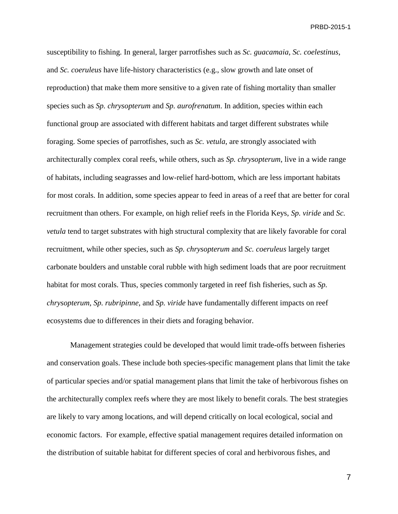susceptibility to fishing. In general, larger parrotfishes such as *Sc. guacamaia*, *Sc. coelestinus*, and *Sc. coeruleus* have life-history characteristics (e.g., slow growth and late onset of reproduction) that make them more sensitive to a given rate of fishing mortality than smaller species such as *Sp. chrysopterum* and *Sp. aurofrenatum*. In addition, species within each functional group are associated with different habitats and target different substrates while foraging. Some species of parrotfishes, such as *Sc. vetula*, are strongly associated with architecturally complex coral reefs, while others, such as *Sp. chrysopterum*, live in a wide range of habitats, including seagrasses and low-relief hard-bottom, which are less important habitats for most corals. In addition, some species appear to feed in areas of a reef that are better for coral recruitment than others. For example, on high relief reefs in the Florida Keys, *Sp. viride* and *Sc. vetula* tend to target substrates with high structural complexity that are likely favorable for coral recruitment, while other species, such as *Sp. chrysopterum* and *Sc. coeruleus* largely target carbonate boulders and unstable coral rubble with high sediment loads that are poor recruitment habitat for most corals. Thus, species commonly targeted in reef fish fisheries, such as *Sp. chrysopterum*, *Sp. rubripinne*, and *Sp. viride* have fundamentally different impacts on reef ecosystems due to differences in their diets and foraging behavior.

Management strategies could be developed that would limit trade-offs between fisheries and conservation goals. These include both species-specific management plans that limit the take of particular species and/or spatial management plans that limit the take of herbivorous fishes on the architecturally complex reefs where they are most likely to benefit corals. The best strategies are likely to vary among locations, and will depend critically on local ecological, social and economic factors. For example, effective spatial management requires detailed information on the distribution of suitable habitat for different species of coral and herbivorous fishes, and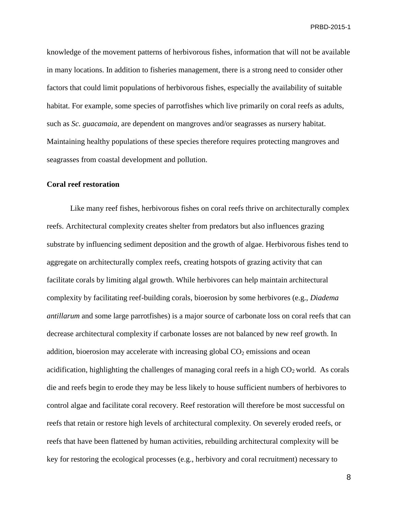knowledge of the movement patterns of herbivorous fishes, information that will not be available in many locations. In addition to fisheries management, there is a strong need to consider other factors that could limit populations of herbivorous fishes, especially the availability of suitable habitat. For example, some species of parrotfishes which live primarily on coral reefs as adults, such as *Sc. guacamaia*, are dependent on mangroves and/or seagrasses as nursery habitat. Maintaining healthy populations of these species therefore requires protecting mangroves and seagrasses from coastal development and pollution.

#### **Coral reef restoration**

Like many reef fishes, herbivorous fishes on coral reefs thrive on architecturally complex reefs. Architectural complexity creates shelter from predators but also influences grazing substrate by influencing sediment deposition and the growth of algae. Herbivorous fishes tend to aggregate on architecturally complex reefs, creating hotspots of grazing activity that can facilitate corals by limiting algal growth. While herbivores can help maintain architectural complexity by facilitating reef-building corals, bioerosion by some herbivores (e.g., *Diadema antillarum* and some large parrotfishes) is a major source of carbonate loss on coral reefs that can decrease architectural complexity if carbonate losses are not balanced by new reef growth. In addition, bioerosion may accelerate with increasing global  $CO<sub>2</sub>$  emissions and ocean acidification, highlighting the challenges of managing coral reefs in a high  $CO<sub>2</sub>$  world. As corals die and reefs begin to erode they may be less likely to house sufficient numbers of herbivores to control algae and facilitate coral recovery. Reef restoration will therefore be most successful on reefs that retain or restore high levels of architectural complexity. On severely eroded reefs, or reefs that have been flattened by human activities, rebuilding architectural complexity will be key for restoring the ecological processes (e.g., herbivory and coral recruitment) necessary to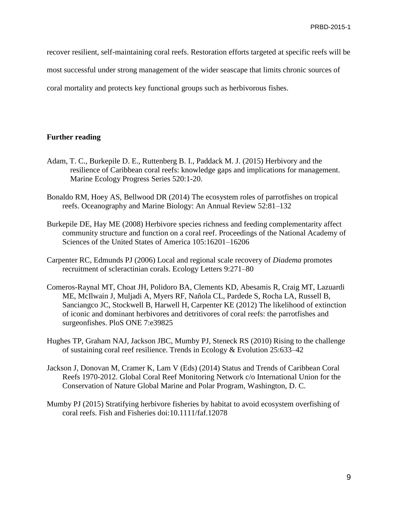recover resilient, self-maintaining coral reefs. Restoration efforts targeted at specific reefs will be

most successful under strong management of the wider seascape that limits chronic sources of

coral mortality and protects key functional groups such as herbivorous fishes.

# **Further reading**

- Adam, T. C., Burkepile D. E., Ruttenberg B. I., Paddack M. J. (2015) Herbivory and the resilience of Caribbean coral reefs: knowledge gaps and implications for management. Marine Ecology Progress Series 520:1-20.
- Bonaldo RM, Hoey AS, Bellwood DR (2014) The ecosystem roles of parrotfishes on tropical reefs. Oceanography and Marine Biology: An Annual Review 52:81–132
- Burkepile DE, Hay ME (2008) Herbivore species richness and feeding complementarity affect community structure and function on a coral reef. Proceedings of the National Academy of Sciences of the United States of America 105:16201–16206
- Carpenter RC, Edmunds PJ (2006) Local and regional scale recovery of *Diadema* promotes recruitment of scleractinian corals. Ecology Letters 9:271–80
- Comeros-Raynal MT, Choat JH, Polidoro BA, Clements KD, Abesamis R, Craig MT, Lazuardi ME, McIlwain J, Muljadi A, Myers RF, Nañola CL, Pardede S, Rocha LA, Russell B, Sanciangco JC, Stockwell B, Harwell H, Carpenter KE (2012) The likelihood of extinction of iconic and dominant herbivores and detritivores of coral reefs: the parrotfishes and surgeonfishes. PloS ONE 7:e39825
- Hughes TP, Graham NAJ, Jackson JBC, Mumby PJ, Steneck RS (2010) Rising to the challenge of sustaining coral reef resilience. Trends in Ecology & Evolution 25:633–42
- Jackson J, Donovan M, Cramer K, Lam V (Eds) (2014) Status and Trends of Caribbean Coral Reefs 1970-2012. Global Coral Reef Monitoring Network c/o International Union for the Conservation of Nature Global Marine and Polar Program, Washington, D. C.
- Mumby PJ (2015) Stratifying herbivore fisheries by habitat to avoid ecosystem overfishing of coral reefs. Fish and Fisheries doi:10.1111/faf.12078